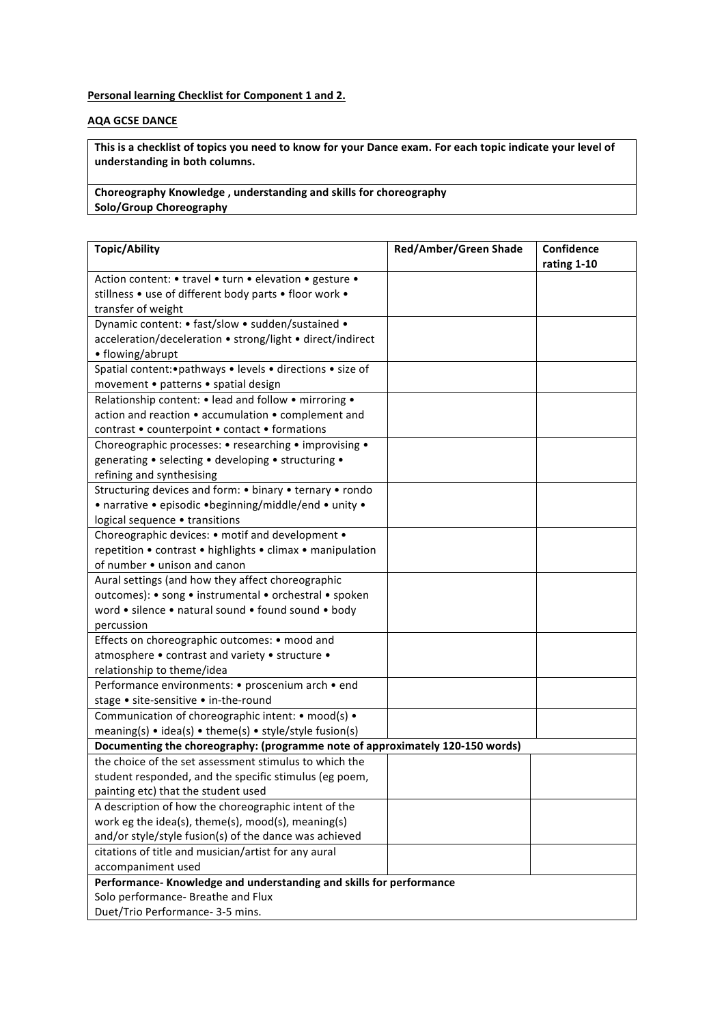## **Personal learning Checklist for Component 1 and 2.**

## **AQA GCSE DANCE**

This is a checklist of topics you need to know for your Dance exam. For each topic indicate your level of understanding in both columns.

**Choreography Knowledge**, understanding and skills for choreography **Solo/Group Choreography** 

| <b>Topic/Ability</b>                                                            | <b>Red/Amber/Green Shade</b> | Confidence  |
|---------------------------------------------------------------------------------|------------------------------|-------------|
|                                                                                 |                              | rating 1-10 |
| Action content: • travel • turn • elevation • gesture •                         |                              |             |
| stillness • use of different body parts • floor work •                          |                              |             |
| transfer of weight                                                              |                              |             |
| Dynamic content: • fast/slow • sudden/sustained •                               |                              |             |
| acceleration/deceleration • strong/light • direct/indirect                      |                              |             |
| • flowing/abrupt                                                                |                              |             |
| Spatial content: · pathways · levels · directions · size of                     |                              |             |
| movement • patterns • spatial design                                            |                              |             |
| Relationship content: • lead and follow • mirroring •                           |                              |             |
| action and reaction • accumulation • complement and                             |                              |             |
| contrast • counterpoint • contact • formations                                  |                              |             |
| Choreographic processes: • researching • improvising •                          |                              |             |
| generating • selecting • developing • structuring •                             |                              |             |
| refining and synthesising                                                       |                              |             |
| Structuring devices and form: • binary • ternary • rondo                        |                              |             |
| • narrative • episodic • beginning/middle/end • unity •                         |                              |             |
| logical sequence • transitions                                                  |                              |             |
| Choreographic devices: • motif and development •                                |                              |             |
| repetition • contrast • highlights • climax • manipulation                      |                              |             |
| of number • unison and canon                                                    |                              |             |
| Aural settings (and how they affect choreographic                               |                              |             |
| outcomes): • song • instrumental • orchestral • spoken                          |                              |             |
| word • silence • natural sound • found sound • body                             |                              |             |
| percussion                                                                      |                              |             |
| Effects on choreographic outcomes: • mood and                                   |                              |             |
| atmosphere • contrast and variety • structure •                                 |                              |             |
| relationship to theme/idea                                                      |                              |             |
| Performance environments: • proscenium arch • end                               |                              |             |
| stage . site-sensitive . in-the-round                                           |                              |             |
| Communication of choreographic intent: • mood(s) •                              |                              |             |
| meaning(s) $\bullet$ idea(s) $\bullet$ theme(s) $\bullet$ style/style fusion(s) |                              |             |
| Documenting the choreography: (programme note of approximately 120-150 words)   |                              |             |
| the choice of the set assessment stimulus to which the                          |                              |             |
| student responded, and the specific stimulus (eg poem,                          |                              |             |
| painting etc) that the student used                                             |                              |             |
| A description of how the choreographic intent of the                            |                              |             |
| work eg the idea(s), theme(s), mood(s), meaning(s)                              |                              |             |
| and/or style/style fusion(s) of the dance was achieved                          |                              |             |
| citations of title and musician/artist for any aural                            |                              |             |
| accompaniment used                                                              |                              |             |
| Performance- Knowledge and understanding and skills for performance             |                              |             |
| Solo performance- Breathe and Flux                                              |                              |             |
| Duet/Trio Performance- 3-5 mins.                                                |                              |             |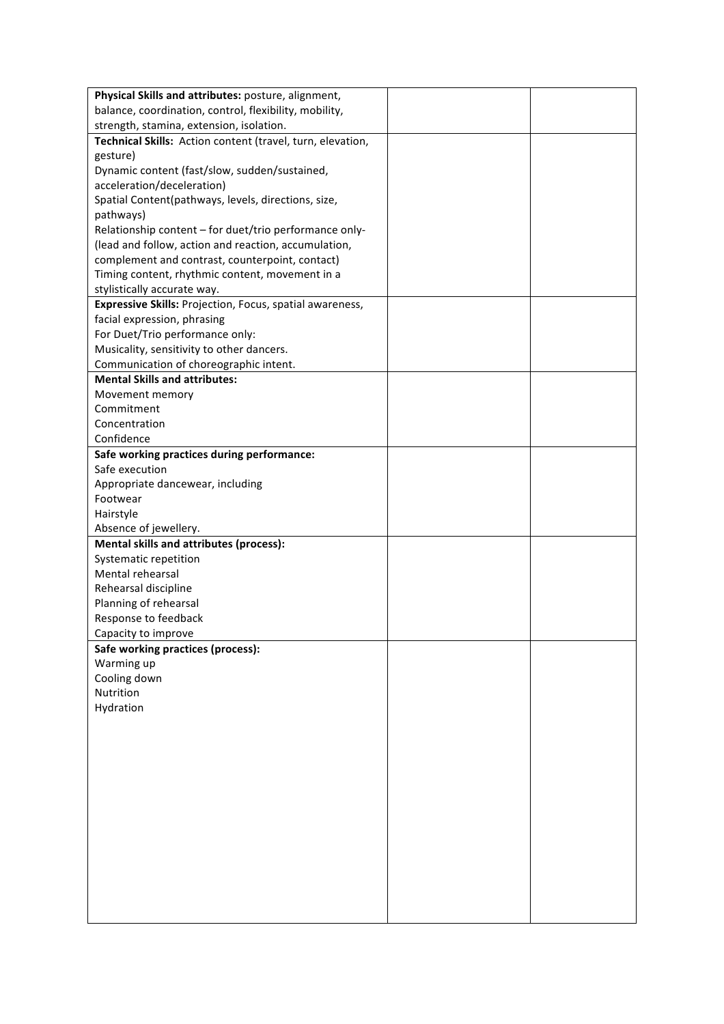| Physical Skills and attributes: posture, alignment,        |  |
|------------------------------------------------------------|--|
| balance, coordination, control, flexibility, mobility,     |  |
| strength, stamina, extension, isolation.                   |  |
| Technical Skills: Action content (travel, turn, elevation, |  |
| gesture)                                                   |  |
| Dynamic content (fast/slow, sudden/sustained,              |  |
| acceleration/deceleration)                                 |  |
| Spatial Content(pathways, levels, directions, size,        |  |
| pathways)                                                  |  |
| Relationship content - for duet/trio performance only-     |  |
| (lead and follow, action and reaction, accumulation,       |  |
| complement and contrast, counterpoint, contact)            |  |
| Timing content, rhythmic content, movement in a            |  |
| stylistically accurate way.                                |  |
| Expressive Skills: Projection, Focus, spatial awareness,   |  |
| facial expression, phrasing                                |  |
| For Duet/Trio performance only:                            |  |
| Musicality, sensitivity to other dancers.                  |  |
| Communication of choreographic intent.                     |  |
| <b>Mental Skills and attributes:</b>                       |  |
| Movement memory                                            |  |
| Commitment                                                 |  |
| Concentration                                              |  |
| Confidence                                                 |  |
| Safe working practices during performance:                 |  |
| Safe execution                                             |  |
| Appropriate dancewear, including                           |  |
| Footwear                                                   |  |
| Hairstyle                                                  |  |
| Absence of jewellery.                                      |  |
| <b>Mental skills and attributes (process):</b>             |  |
| Systematic repetition                                      |  |
| Mental rehearsal                                           |  |
| Rehearsal discipline                                       |  |
| Planning of rehearsal                                      |  |
| Response to feedback                                       |  |
| Capacity to improve                                        |  |
| Safe working practices (process):                          |  |
| Warming up                                                 |  |
| Cooling down                                               |  |
| Nutrition                                                  |  |
| Hydration                                                  |  |
|                                                            |  |
|                                                            |  |
|                                                            |  |
|                                                            |  |
|                                                            |  |
|                                                            |  |
|                                                            |  |
|                                                            |  |
|                                                            |  |
|                                                            |  |
|                                                            |  |
|                                                            |  |
|                                                            |  |
|                                                            |  |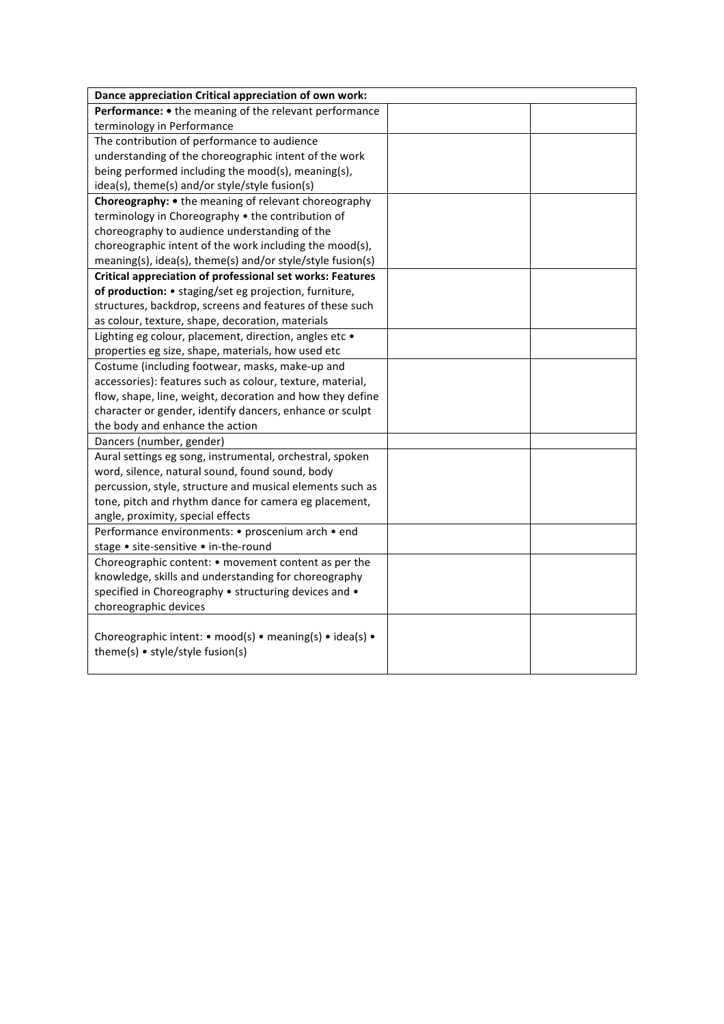| Dance appreciation Critical appreciation of own work:                                        |  |  |  |
|----------------------------------------------------------------------------------------------|--|--|--|
| Performance: • the meaning of the relevant performance                                       |  |  |  |
| terminology in Performance                                                                   |  |  |  |
| The contribution of performance to audience                                                  |  |  |  |
| understanding of the choreographic intent of the work                                        |  |  |  |
| being performed including the mood(s), meaning(s),                                           |  |  |  |
| idea(s), theme(s) and/or style/style fusion(s)                                               |  |  |  |
| Choreography: • the meaning of relevant choreography                                         |  |  |  |
| terminology in Choreography • the contribution of                                            |  |  |  |
| choreography to audience understanding of the                                                |  |  |  |
| choreographic intent of the work including the mood(s),                                      |  |  |  |
| meaning(s), idea(s), theme(s) and/or style/style fusion(s)                                   |  |  |  |
| <b>Critical appreciation of professional set works: Features</b>                             |  |  |  |
| of production: • staging/set eg projection, furniture,                                       |  |  |  |
| structures, backdrop, screens and features of these such                                     |  |  |  |
| as colour, texture, shape, decoration, materials                                             |  |  |  |
| Lighting eg colour, placement, direction, angles etc .                                       |  |  |  |
| properties eg size, shape, materials, how used etc                                           |  |  |  |
| Costume (including footwear, masks, make-up and                                              |  |  |  |
| accessories): features such as colour, texture, material,                                    |  |  |  |
| flow, shape, line, weight, decoration and how they define                                    |  |  |  |
| character or gender, identify dancers, enhance or sculpt                                     |  |  |  |
| the body and enhance the action                                                              |  |  |  |
| Dancers (number, gender)                                                                     |  |  |  |
| Aural settings eg song, instrumental, orchestral, spoken                                     |  |  |  |
| word, silence, natural sound, found sound, body                                              |  |  |  |
| percussion, style, structure and musical elements such as                                    |  |  |  |
| tone, pitch and rhythm dance for camera eg placement,                                        |  |  |  |
| angle, proximity, special effects                                                            |  |  |  |
| Performance environments: • proscenium arch • end                                            |  |  |  |
| stage • site-sensitive • in-the-round                                                        |  |  |  |
| Choreographic content: • movement content as per the                                         |  |  |  |
| knowledge, skills and understanding for choreography                                         |  |  |  |
| specified in Choreography • structuring devices and •                                        |  |  |  |
| choreographic devices                                                                        |  |  |  |
| Choreographic intent: • mood(s) • meaning(s) • idea(s) •<br>theme(s) • style/style fusion(s) |  |  |  |